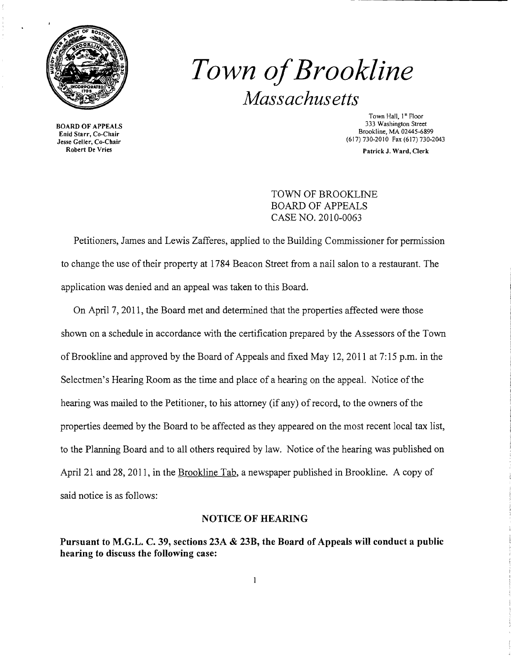

*Town ofBrookline Massachusetts* 

BOARD OF APPEALS Enid Starr, Co-Chair Jesse Geller, Co-Chair Robert De Vries

Town Hall, I" Floor 333 Washington Street Brookline, MA 02445-6899 (617) 730-2010 Fax (617) 730-2043

Patrick J. Ward, Clerk

TOWN OF BROOKLINE BOARD OF APPEALS CASE NO. 2010-0063

Petitioners, James and Lewis Zafferes, applied to the Building Commissioner for permission to change the use of their property at 1784 Beacon Street from a nail salon to a restaurant. The application was denied and an appeal was taken to this Board.

On April 7, 2011, the Board met and determined that the properties affected were those shown on a schedule in accordance with the certification prepared by the Assessors of the Town of Brookline and approved by the Board of Appeals and fixed May 12,2011 at 7: 15 p.m. in the Selectmen's Hearing Room as the time and place of a hearing on the appeal. Notice of the hearing was mailed to the Petitioner, to his attorney (if any) of record, to the owners of the properties deemed by the Board to be affected as they appeared on the most recent local tax list, to the Planning Board and to all others required by law. Notice of the hearing was published on April 21 and 28, 2011, in the Brookline Tab, a newspaper published in Brookline. A copy of said notice is as follows:

## NOTICE OF HEARING

Pursuant to M.G.L. C. 39, sections 23A & 23B, the Board of Appeals will conduct a public hearing to discuss the following case:

 $\mathbf{1}$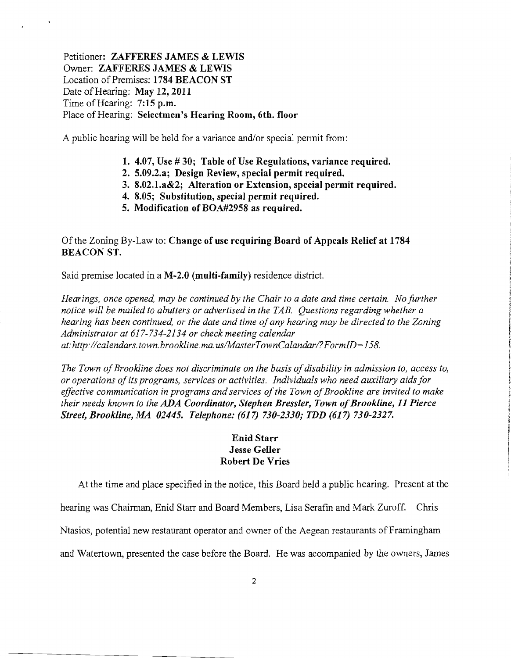Petitioner: ZAFFERES JAMES & LEWIS Owner: ZAFFERES JAMES & LEWIS Location of Premises: 1784 BEACON ST Date of Hearing: May 12, 2011 Time of Hearing: 7:15 p.m. Place of Hearing: Selectmen's Hearing Room, 6th. floor

A public hearing will be held for a variance and/or special permit from:

- 1. 4.07, Use # 30; Table of Use Regulations, variance required.
- 2. 5.09.2.a; Design Review, special permit required.
- 3. 8.02.1.a&2; Alteration or Extension, special permit required.
- 4. 8.05; Substitution, special permit required.
- 5. Modification of BOA#2958 as required.

## Ofthe Zoning By-Law to: Change of use requiring Board of Appeals Relief at 1784 BEACON ST.

Said premise located in a M-2.0 (multi-family) residence district.

*Hearings, once opened, may be continued by the Chair to a date and time certain. No further notice will be mailed to abutters or advertised in the TAB. Questions regarding whether a hearing has been continued, or the date and time ofany hearing may be directed to the Zoning Administrator at* 617-734-2134 *or check meeting calendar*  at:http://calendars.town.brookline.ma.us/MasterTownCalandar/?FormID=158.

The Town of Brookline does not discriminate on the basis of disability in admission to, access to, *or operations ofits programs, services or activities. Individuals who need auxiliary aids for effective communication in programs and services of the Town of Brookline are invited to make their needs known to the* ADA *Coordinator, Stephen Bressler, Town ofBrookline,* 11 *Pierce Street, Brookline, MA 02445. Telephone:* (617) *730-2330; TDD* (617) *730-2327.* 

## Enid Starr Jesse Geller Robert De Vries

At the time and place specified in the notice, this Board held a public hearing. Present at the

hearing was Chairman, Enid Starr and Board Members, Lisa Serafin and Mark Zuroff. Chris

Ntasios, potential new restaurant operator and owner of the Aegean restaurants of Framingham

and Watertown, presented the case before the Board. He was accompanied by the owners, James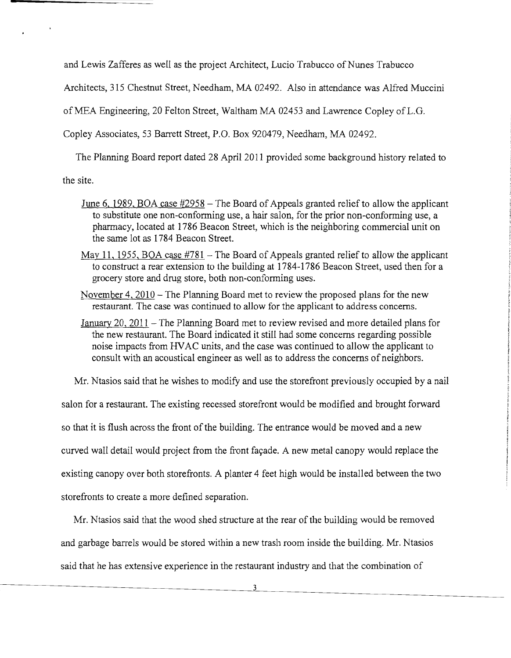and Lewis Zafferes as well as the project Architect, Lucio Trabucco of Nunes Trabucco

Architects, 315 Chestnut Street, Needham, MA 02492. Also in attendance was Alfred Muccini

ofMEA Engineering, 20 Felton Street, Waltham MA 02453 and Lawrence Copley ofL.G.

Copley Associates, 53 Barrett Street, P.O. Box 920479, Needham, MA 02492.

The Planning Board report dated 28 April 2011 provided some background history related to

the site.

- June 6, 1989, BOA case  $#2958$  The Board of Appeals granted relief to allow the applicant to substitute one non-conforming use, a hair salon, for the prior non-conforming use, a pharmacy, located at 1786 Beacon Street, which is the neighboring commercial unit on the same lot as 1784 Beacon Street.
- May 11, 1955, BOA case  $#781$  The Board of Appeals granted relief to allow the applicant to construct a rear extension to the building at 1784-1786 Beacon Street, used then for a grocery store and drug store, both non-conforming uses.
- November 4, 2010 The Planning Board met to review the proposed plans for the new restaurant. The case was continued to allow for the applicant to address concerns.
- January 20, 2011 The Planning Board met to review revised and more detailed plans for the new restaurant. The Board indicated it still had some concerns regarding possible noise impacts from HVAC units, and the case was continued to allow the applicant to consult with an acoustical engineer as well as to address the concerns of neighbors.

Mr. Ntasios said that he wishes to modify and use the storefront previously occupied by a nail

salon for a restaurant. The existing recessed storefront would be modified and brought forward so that it is flush across the front of the building. The entrance would be moved and a new curved wall detail would project from the front façade. A new metal canopy would replace the existing canopy over both storefronts. A planter 4 feet high would be installed between the two storefronts to create a more defined separation.

Mr. Ntasios said that the wood shed structure at the rear of the building would be removed and garbage barrels would be stored within a new trash room inside the building. Mr. Ntasios said that he has extensive experience in the restaurant industry and that the combination of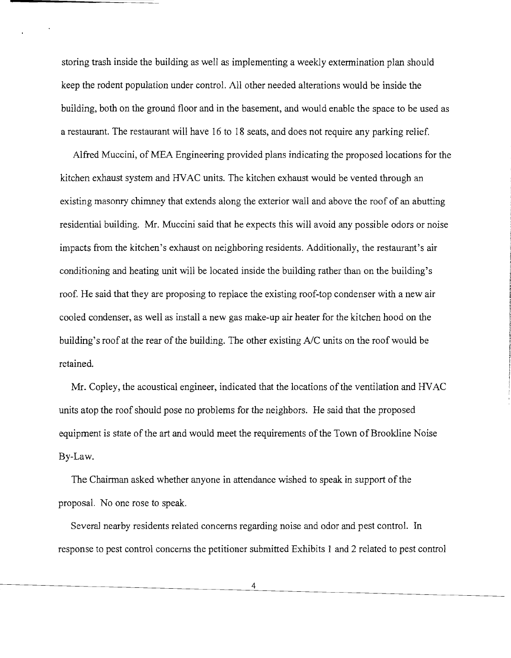storing trash inside the building as well as implementing a weekly extermination plan should keep the rodent population under control. All other needed alterations would be inside the building, both on the ground floor and in the basement, and would enable the space to be used as a restaurant. The restaurant will have 16 to 18 seats, and does not require any parking relief.

Alfred Muccini, of MEA Engineering provided plans indicating the proposed locations for the kitchen exhaust system and HVAC units. The kitchen exhaust would be vented through an existing masonry chinmey that extends along the exterior wall and above the roof of an abutting residential building. Mr. Muccini said that he expects this will avoid any possible odors or noise impacts from the kitchen's exhaust on neighboring residents. Additionally, the restaurant's air conditioning and heating unit will be located inside the building rather than on the building's roof. He said that they are proposing to replace the existing roof-top condenser with a new air cooled condenser, as well as install a new gas make-up air heater for the kitchen hood on the building's roof at the rear of the building. The other existing *AlC* units on the roof would be retained.

Mr. Copley, the acoustical engineer, indicated that the locations of the ventilation and HVAC units atop the roof should pose no problems for the neighbors. He said that the proposed equipment is state of the art and would meet the requirements of the Town of Brookline Noise By-Law.

The Chairman asked whether anyone in attendance wished to speak in support of the proposal. No one rose to speak.

Several nearby residents related concerns regarding noise and odor and pest control. In response to pest control concerns the petitioner submitted Exhibits 1 and 2 related to pest control

4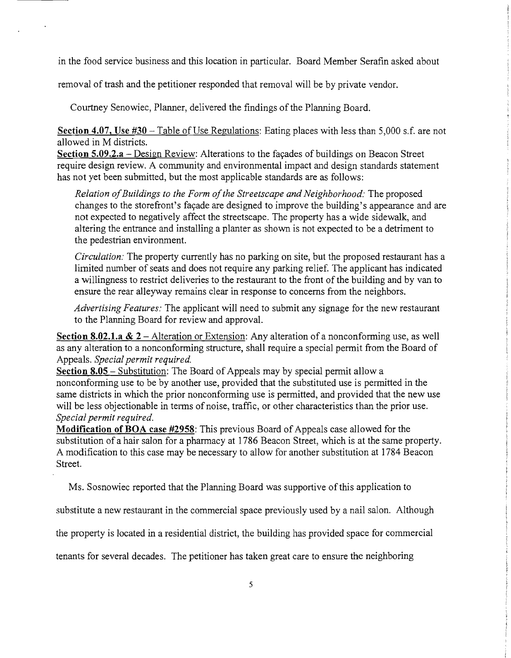in the food service business and this location in particular. Board Member Serafin asked about

removal of trash and the petitioner responded that removal will be by private vendor.

Courtney Senowiec, Planner, delivered the findings of the Planning Board.

 $\ddot{\phantom{a}}$ 

Section 4.07, Use  $#30$  – Table of Use Regulations: Eating places with less than 5,000 s.f. are not allowed in M districts.

Section  $5.09.2.a$  – Design Review: Alterations to the façades of buildings on Beacon Street require design review. A community and environmental impact and design standards statement has not yet been submitted, but the most applicable standards are as follows:

*Relation of Buildings to the Form of the Streetscape and Neighborhood: The proposed* changes to the storefront's façade are designed to improve the building's appearance and are not expected to negatively affect the streetscape. The property has a wide sidewalk, and altering the entrance and installing a planter as shown is not expected to be a detriment to the pedestrian environment.

*Circulation:* The property currently has no parking on site, but the proposed restaurant has a limited number of seats and does not require any parking relief. The applicant has indicated a willingness to restrict deliveries to the restaurant to the front of the building and by van to ensure the rear alleyway remains clear in response to concerns from the neighbors.

*Advertising Features:* The applicant will need to submit any signage for the new restaurant to the Planning Board for review and approval.

Section 8.02.1.a  $\&$  2 – Alteration or Extension: Any alteration of a nonconforming use, as well as any alteration to a nonconforming structure, shall require a special permit from the Board of Appeals. *Special permit required.* 

Section  $8.05$  – Substitution: The Board of Appeals may by special permit allow a nonconforming use to be by another use, provided that the substituted use is permitted in the same districts in which the prior nonconforming use is permitted, and provided that the new use will be less objectionable in terms of noise, traffic, or other characteristics than the prior use. *Special permit required.* 

Modification of BOA case #2958: This previous Board of Appeals case allowed for the substitution of a hair salon for a pharmacy at 1786 Beacon Street, which is at the same property. A modification to this case may be necessary to allow for another substitution at 1784 Beacon Street.

Ms. Sosnowiec reported that the Planning Board was supportive of this application to

substitute a new restaurant in the commercial space previously used by a nail salon. Although

the property is located in a residential district, the building has provided space for commercial

tenants for several decades. The petitioner has taken great care to ensure the neighboring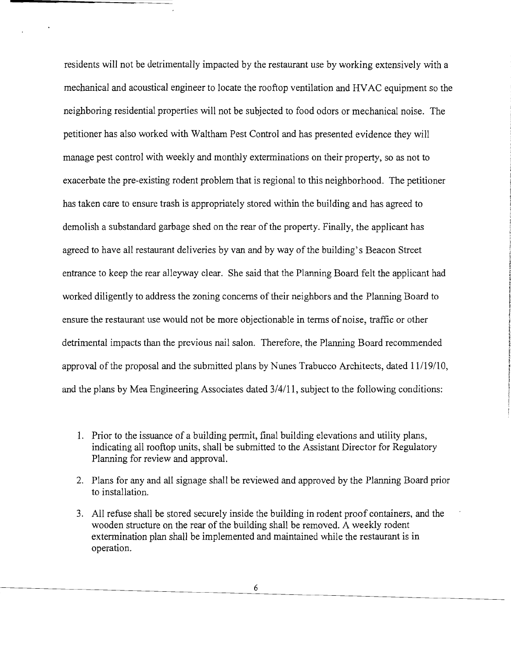residents will not be detrimentally impacted by the restaurant use by working extensively with a mechanical and acoustical engineer to locate the rooftop ventilation and HVAC equipment so the neighboring residential properties will not be subjected to food odors or mechanical noise. The petitioner has also worked with Waltham Pest Control and has presented evidence they will manage pest control with weekly and monthly exterminations on their property, so as not to exacerbate the pre-existing rodent problem that is regional to this neighborhood. The petitioner has taken care to ensure trash is appropriately stored within the building and has agreed to demolish a substandard garbage shed on the rear of the property. Finally, the applicant has agreed to have all restaurant deliveries by van and by way of the building's Beacon Street entrance to keep the rear alleyway clear. She said that the Planning Board felt the applicant had worked diligently to address the zoning concerns of their neighbors and the Planning Board to ensure the restaurant use would not be more objectionable in terms ofnoise, traffic or other detrimental impacts than the previous nail salon. Therefore, the Planning Board recommended approval of the proposal and the submitted plans by Nunes Trabucco Architects, dated 11/19/10, and the plans by Mea Engineering Associates dated 3/4/11, subject to the following conditions:

- 1. Prior to the issuance of a building permit, final building elevations and utility plans, indicating all rooftop units, shall be submitted to the Assistant Director for Regulatory Planning for review and approval.
- 2. Plans for any and all signage shall be reviewed and approved by the Planning Board prior to installation.
- 3. All refuse shall be stored securely inside the building in rodent proof containers, and the wooden structure on the rear of the building shall be removed. A weekly rodent extennination plan shall be implemented and maintained while the restaurant is in operation.

6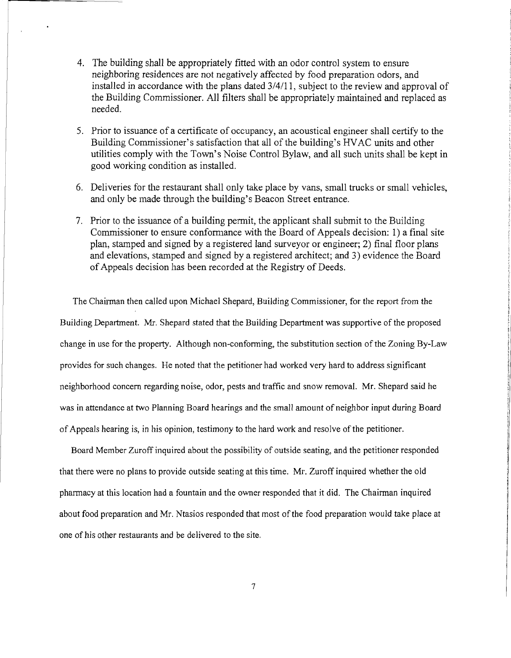- 4. The building shall be appropriately fitted with an odor control system to ensure neighboring residences are not negatively affected by food preparation odors, and installed in accordance with the plans dated 3/4/11, subject to the review and approval of the Building Commissioner. All filters shall be appropriately maintained and replaced as needed.
- 5. Prior to issuance of a certificate of occupancy, an acoustical engineer shall certify to the Building Commissioner's satisfaction that all of the building's HVAC units and other utilities comply with the Town's Noise Control Bylaw, and all such units shall be kept in good working condition as installed.
- 6. Deliveries for the restaurant shall only take place by vans, small trucks or small vehicles, and only be made through the building's Beacon Street entrance.
- 7. Prior to the issuance of a building permit, the applicant shall submit to the Building Commissioner to ensure conformance with the Board of Appeals decision: 1) a final site plan, stamped and signed by a registered land surveyor or engineer; 2) final floor plans and elevations, stamped and signed by a registered architect; and 3) evidence the Board ofAppeals decision has been recorded at the Registry of Deeds.

The Chairman then called upon Michael Shepard, Building Commissioner, for the report from the Building Department. Mr. Shepard stated that the Building Department was supportive of the proposed change in use for the property. Although non-conforming, the substitution section of the Zoning By-Law provides for such changes. He noted that the petitioner had worked very hard to address significant neighborhood concern regarding noise, odor, pests and traffic and snow removal. Mr. Shepard said he was in attendance at two Planning Board hearings and the small amount of neighbor input during Board ofAppeals hearing is, in his opinion, testimony to the hard work and resolve ofthe petitioner.

Board Member Zuroff inquired about the possibility of outside seating, and the petitioner responded that there were no plans to provide outside seating at this time. Mr. Zuroff inquired whether the old pharmacy at this location had a fountain and the owner responded that it did. The Chairman inquired about food preparation and Mr. Ntasios responded that most of the food preparation would take place at one of his other restaurants and be delivered to the site.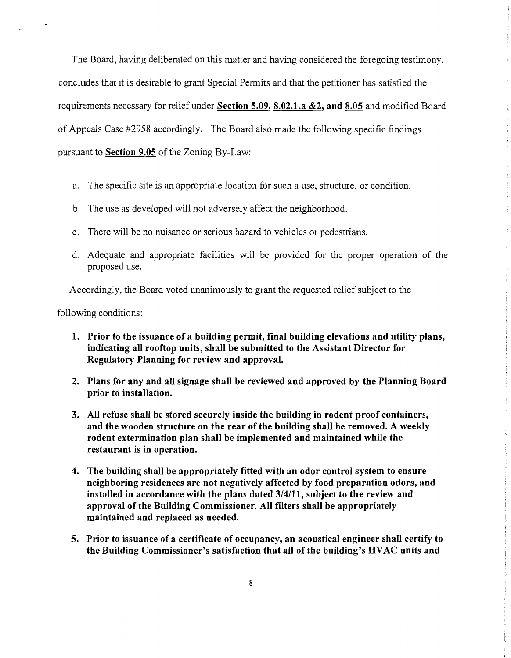The Board, having deliberated on this matter and having considered the foregoing testimony, concludes that it is desirable to grant Special Permits and that the petitioner has satisfied the requirements necessary for relief under Section 5.09, 8.02.1.a  $\&2$ , and 8.05 and modified Board of Appeals Case #2958 accordingly. The Board also made the following specific findings pursuant to Section 9.05 of the Zoning By-Law:

- a. The specific site is an appropriate location for such a use, structure, or condition.
- b. The use as developed will not adversely affect the neighborhood.
- c. There will be no nuisance or serious hazard to vehicles or pedestrians.
- d. Adequate and appropriate facilities will be provided for the proper operation of the proposed use.

Accordingly, the Board voted unanimously to grant the requested relief subject to the

following conditions:

- 1. Prior to the issuance of a building permit, final building elevations and utility plans, indicating all rooftop units, shall be submitted to the Assistant Director for Regulatory Planning for review and approval.
- 2. Plans for any and all signage shall be reviewed and approved by the Planning Board prior to installation.
- 3. All refuse shall be stored securely inside the building in rodent proof containers, and the wooden structure on the rear of the building shall be removed. A weekly rodent extermination plan shall be implemented and maintained while the restaurant is in operation.
- 4. The building shall be appropriately fitted with an odor control system to ensure neighboring residences are not negatively affected by food preparation odors, and installed in accordance with the plans dated 3/4/11, subject to the review and approval of the Building Commissioner. All filters shall be appropriately maintained and replaced as needed.
- 5. Prior to issuance of a certificate of occupancy, an acoustical engineer shall certify to the Building Commissioner's satisfaction that all of the building's HVAC units and